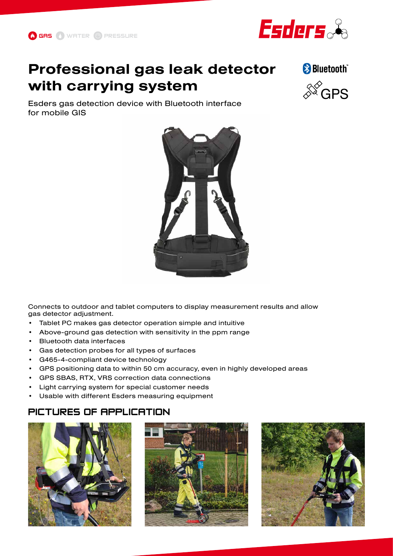

# **Professional gas leak detector with carrying system**

Esders gas detection device with Bluetooth interface for mobile GIS



Connects to outdoor and tablet computers to display measurement results and allow gas detector adjustment.

- Tablet PC makes gas detector operation simple and intuitive
- Above-ground gas detection with sensitivity in the ppm range
- Bluetooth data interfaces
- Gas detection probes for all types of surfaces
- G465-4-compliant device technology
- GPS positioning data to within 50 cm accuracy, even in highly developed areas
- GPS SBAS, RTX, VRS correction data connections
- Light carrying system for special customer needs
- Usable with different Esders measuring equipment

### PICTURES OF APPLICATION







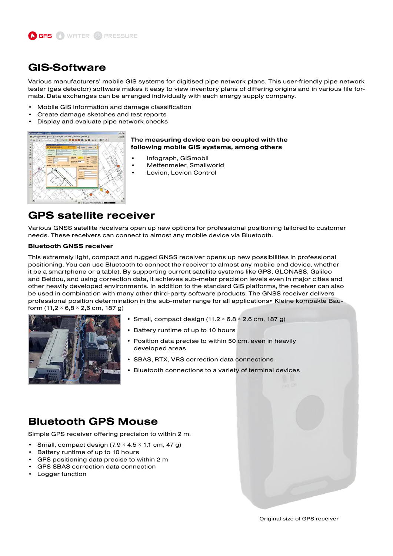

### **GIS-Software**

Various manufacturers' mobile GIS systems for digitised pipe network plans. This user-friendly pipe network tester (gas detector) software makes it easy to view inventory plans of differing origins and in various file formats. Data exchanges can be arranged individually with each energy supply company.

- Mobile GIS information and damage classification
- Create damage sketches and test reports
- Display and evaluate pipe network checks



#### **The measuring device can be coupled with the following mobile GIS systems, among others**

- Infograph, GISmobil
- Mettenmeier, Smallworld
- Lovion, Lovion Control

### **GPS satellite receiver**

Various GNSS satellite receivers open up new options for professional positioning tailored to customer needs. These receivers can connect to almost any mobile device via Bluetooth.

#### **Bluetooth GNSS receiver**

This extremely light, compact and rugged GNSS receiver opens up new possibilities in professional positioning. You can use Bluetooth to connect the receiver to almost any mobile end device, whether it be a smartphone or a tablet. By supporting current satellite systems like GPS, GLONASS, Galileo and Beidou, and using correction data, it achieves sub-meter precision levels even in major cities and other heavily developed environments. In addition to the standard GIS platforms, the receiver can also be used in combination with many other third-party software products. The GNSS receiver delivers professional position determination in the sub-meter range for all applications• Kleine kompakte Bauform (11,2  $\times$  6,8  $\times$  2,6 cm, 187 g)



- Small, compact design  $(11.2 \times 6.8 \times 2.6$  cm, 187 g)
- Battery runtime of up to 10 hours
- Position data precise to within 50 cm, even in heavily developed areas
- SBAS, RTX, VRS correction data connections
- Bluetooth connections to a variety of terminal devices

### **Bluetooth GPS Mouse**

Simple GPS receiver offering precision to within 2 m.

- Small, compact design  $(7.9 \times 4.5 \times 1.1 \text{ cm}, 47 \text{ g})$
- Battery runtime of up to 10 hours
- GPS positioning data precise to within 2 m
- GPS SBAS correction data connection
- Logger function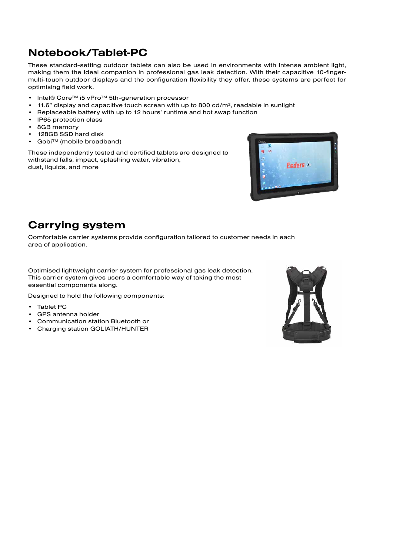# **Notebook/Tablet-PC**

These standard-setting outdoor tablets can also be used in environments with intense ambient light, making them the ideal companion in professional gas leak detection. With their capacitive 10-fingermulti-touch outdoor displays and the configuration flexibility they offer, these systems are perfect for optimising field work.

- Intel® Core™ i5 vPro™ 5th-generation processor
- 11.6" display and capacitive touch screan with up to 800 cd/m², readable in sunlight
- Replaceable battery with up to 12 hours' runtime and hot swap function
- IP65 protection class
- 8GB memory
- 128GB SSD hard disk
- Gobi™ (mobile broadband)

These independently tested and certified tablets are designed to withstand falls, impact, splashing water, vibration, dust, liquids, and more



## **Carrying system**

Comfortable carrier systems provide configuration tailored to customer needs in each area of application.

Optimised lightweight carrier system for professional gas leak detection. This carrier system gives users a comfortable way of taking the most essential components along.

Designed to hold the following components:

- Tablet PC
- GPS antenna holder
- Communication station Bluetooth or
- Charging station GOLIATH/HUNTER